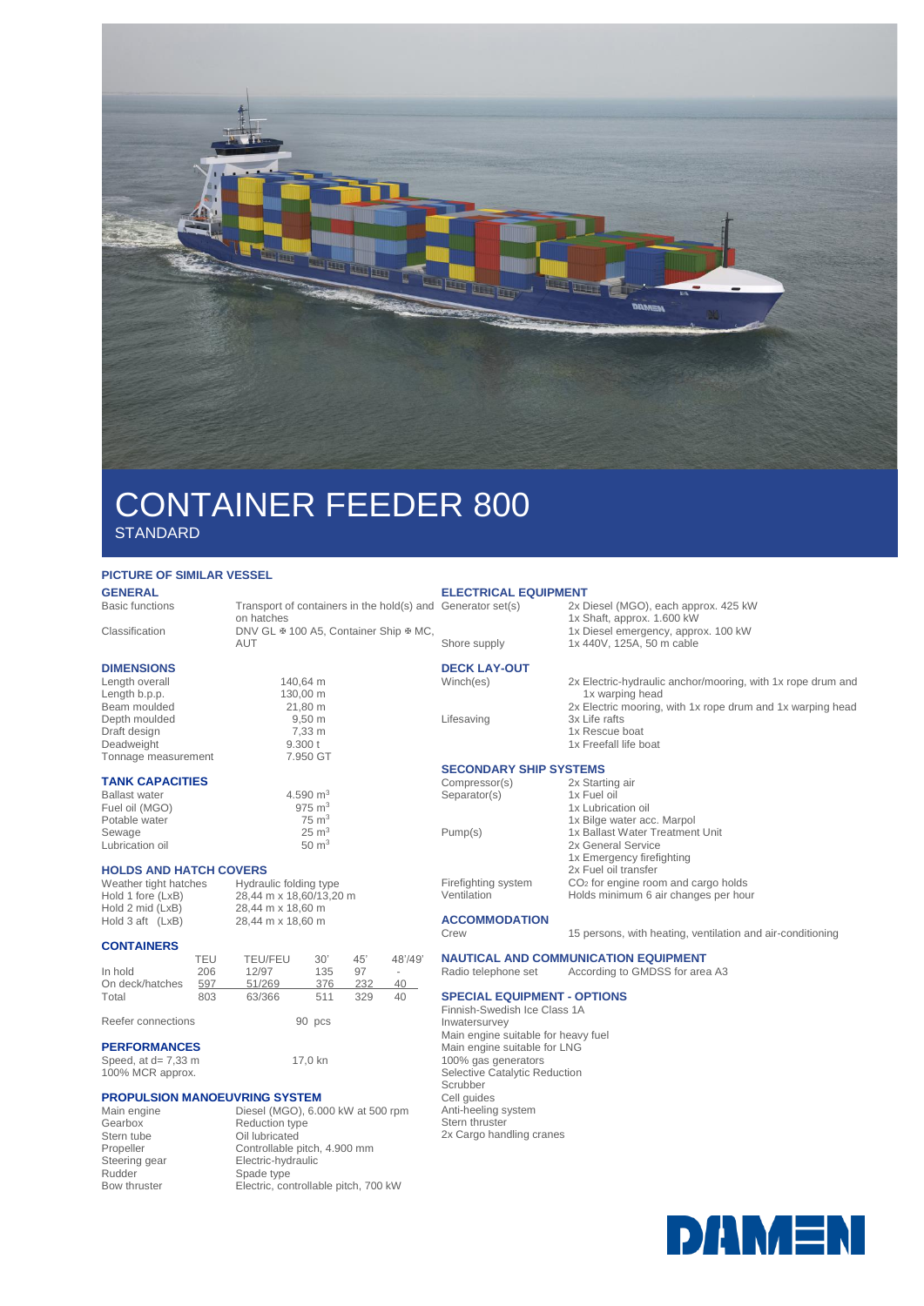

# CONTAINER FEEDER 800 **STANDARD**

## **PICTURE OF SIMILAR VESSEL**

**GENERAL**<br>Basic functions

## **DIMENSIONS**

Length overall 140,64 m<br>Length b p p 130,00 m Length b.p.p.<br>Beam moulded 130,00 m<br>21,80 m Beam moulded 21,80 m<br>Depth moulded 9,50 m Depth moulded 9,50 m<br>Draft design 7,33 m Draft design 7,33 m<br>Deadweight 9.300 t Deadweight 9.300 t<br>Tonnage measurement 7.950 GT Tonnage measurement

### **TANK CAPACITIES**

| <b>Ballast water</b> | 4.590 $m3$        |
|----------------------|-------------------|
| Fuel oil (MGO)       | $975 \text{ m}^3$ |
| Potable water        | $75 \text{ m}^3$  |
| Sewage               | $25 \text{ m}^3$  |
| Lubrication oil      | $50 \text{ m}^3$  |

# **HOLDS AND HATCH COVERS**<br>Weather tight hatches Hydraulic folding type

Weather tight hatches<br>Hold 1 fore (LxB) Hold 1 fore (LxB) 28,44 m x 18,60/13,20 m<br>Hold 2 mid (LxB) 28,44 m x 18,60 m Hold 3 aft  $(LxB)$ 

## **CONTAINERS**

|                    | TEU | <b>TEU/FEU</b> | 30'    | $45^{\circ}$ | 48'/49' |
|--------------------|-----|----------------|--------|--------------|---------|
| In hold            | 206 | 12/97          | 135    | 97           | ۰       |
| On deck/hatches    | 597 | 51/269         | 376    | 232          | 40      |
| Total              | 803 | 63/366         | 511    | 329          | 40      |
| Reefer connections |     |                | 90 pcs |              |         |

 $28,44$  m x 18,60 m<br> $28,44$  m x 18,60 m

17,0 kn

on hatches

## **PERFORMANCES**

Speed, at  $d= 7,33$  m 100% MCR approx.

# **PROPULSION MANOEUVRING SYSTEM**<br>Main engine Diesel (MGO), 6.0

Main engine Diesel (MGO), 6.000 kW at 500 rpm<br>Gearbox Reduction type Gearbox Reduction type<br>
Stern tube Cil lubricated Stern tube Oil lubricated<br>Propeller Controllable p Propeller Controllable pitch, 4.900 mm<br>Steering gear Electric-hydraulic Steering gear Electric-hydraulic<br>
Rudder Spade type Spade type Bow thruster Electric, controllable pitch, 700 kW

**ELECTRICAL EQUIPMENT**  merator<br>2x Diesel (MGO), each approx. 425 kW

## Transport of containers in the hold(s) and Generator set(s)

Classification DNV GL  $\text{\textsterling}$  100 A5, Container Ship  $\text{\textsterling}$  MC,

AUT

- 
- 1x Rescue boat
- 

## **SECONDARY SHIP SYSTEMS**<br>Compressor(s) 2x Starting air

Compressor(s) Separato

1x Emergency firefighting

## **ACCOMMODATION**

Crew 15 persons, with heating, ventilation and air-conditioning

# Radio telephone set According to GMDSS for area A3

## **SPECIAL EQUIPMENT - OPTIONS**

Finnish-Swedish Ice Class 1A Inwatersurvey Main engine suitable for heavy fuel Main engine suitable for LNG 100% gas generators Selective Catalytic Reduction Scrubber Cell guides Anti-heeling system Stern thruster



1x Diesel emergency, approx. 100 kW Shore supply 1x 440V, 125A, 50 m cable **DECK LAY-OUT**

- -

- 2x Fuel oil transfer
- Ventilation Holds minimum 6 air changes per hour
- Winch(es) 2x Electric-hydraulic anchor/mooring, with 1x rope drum and 1x warping head 2x Electric mooring, with 1x rope drum and 1x warping head Lifesaving 3x Life rafts
	- - 1x Freefall life boat

1x Shaft, approx. 1.600 kW

| <b>OUTIDICOUTIO</b> | <i>LA</i> Utarting an           |
|---------------------|---------------------------------|
| Separator(s)        | 1x Fuel oil                     |
|                     | 1x Lubrication oil              |
|                     | 1x Bilge water acc. Marpol      |
| Pump(s)             | 1x Ballast Water Treatment Unit |
|                     | 2x General Service              |
|                     | Av Francesco av firefielding    |

Firefighting system CO<sub>2</sub> for engine room and cargo holds

**NAUTICAL AND COMMUNICATION EQUIPMENT**

2x Cargo handling cranes